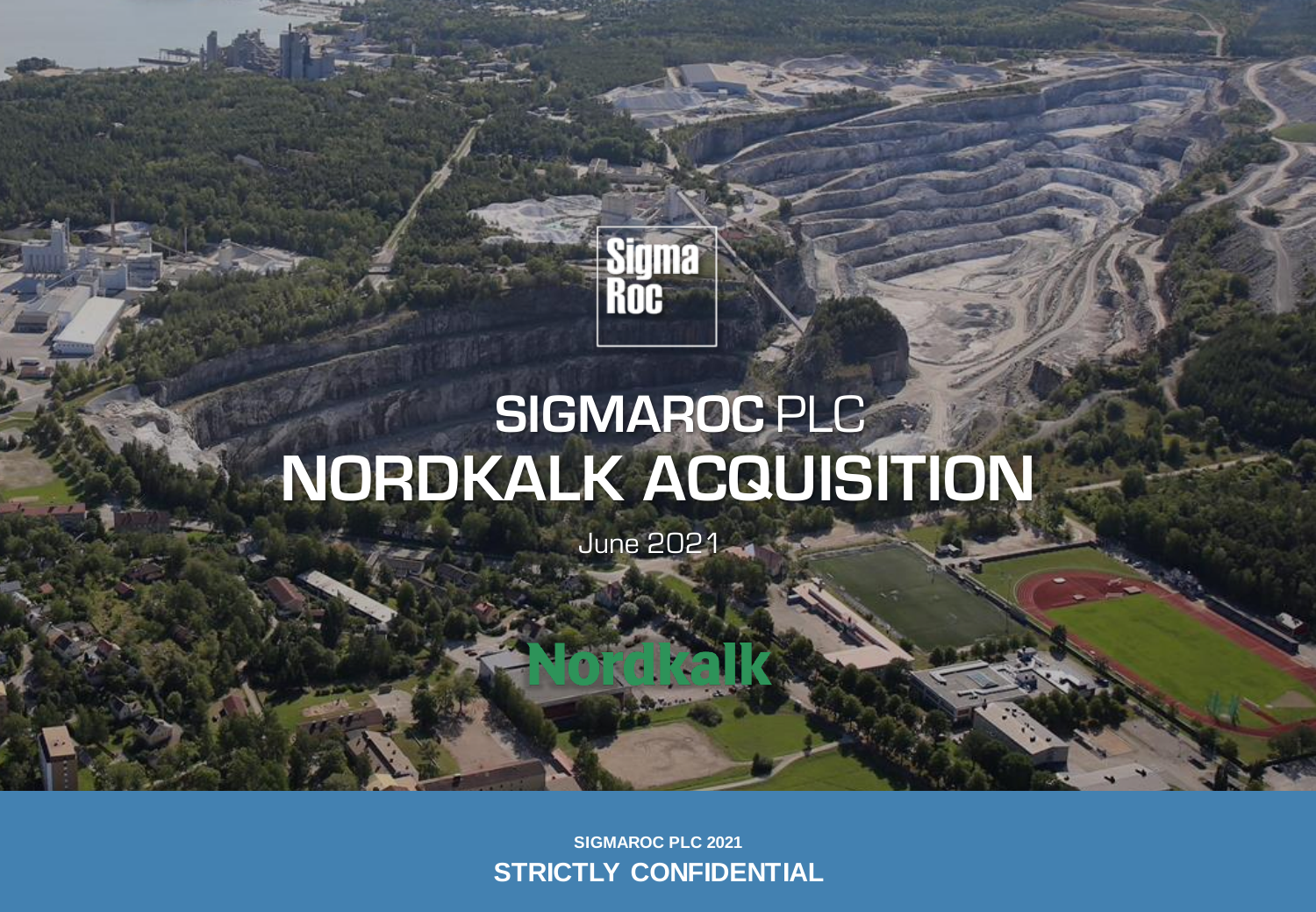## Sigma Roc

# **SIGMAROC** PLC **NORDKALK ACQUISITION**

June 2021

**SIGMAROC PLC 2021 STRICTLY CONFIDENTIAL**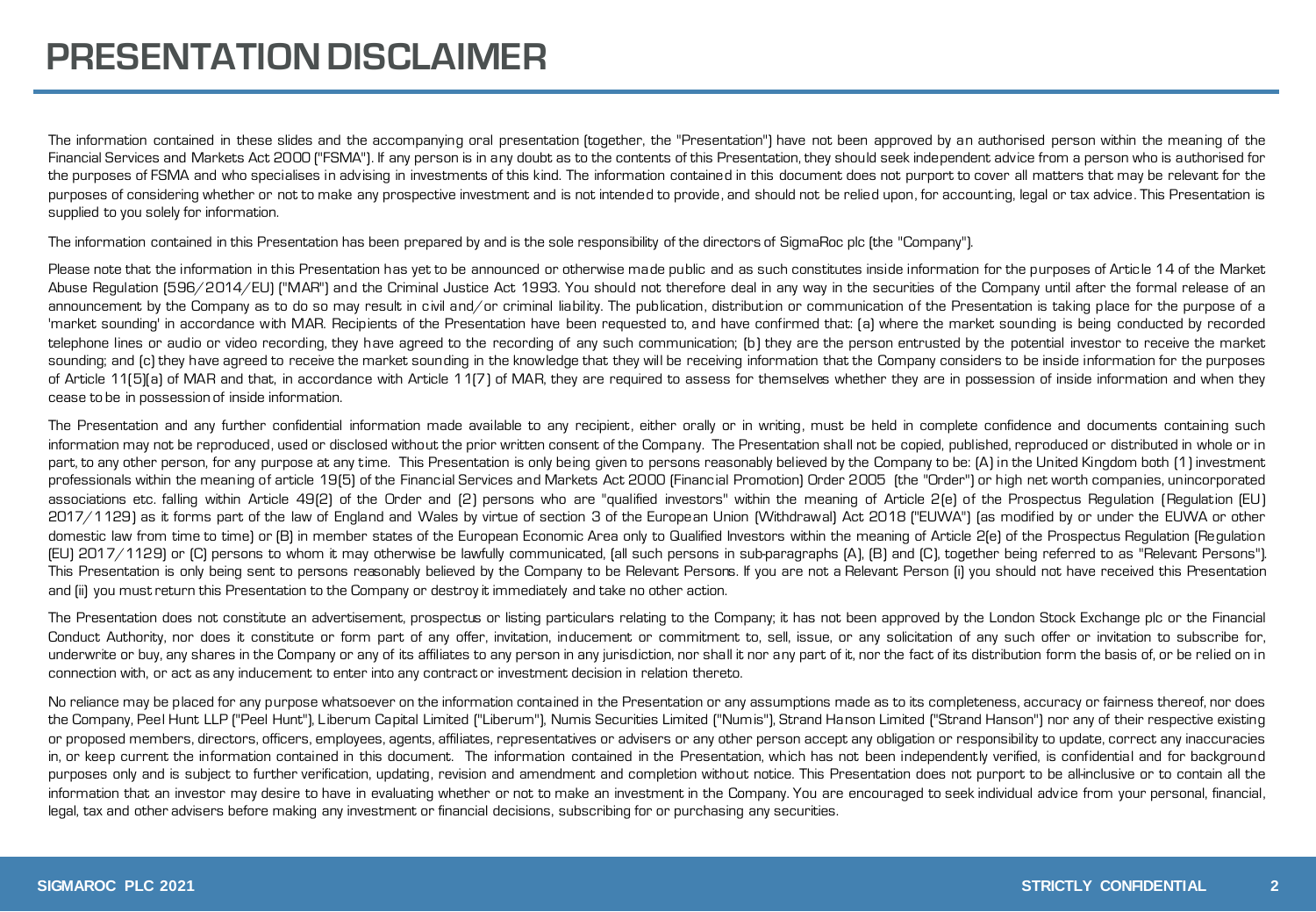The information contained in these slides and the accompanying oral presentation (together, the "Presentation") have not been approved by an authorised person within the meaning of the Financial Services and Markets Act 2000 ("FSMA"). If any person is in any doubt as to the contents of this Presentation, they should seek independent advice from a person who is authorised for the purposes of FSMA and who specialises in advising in investments of this kind. The information contained in this document does not purport to cover all matters that may be relevant for the purposes of considering whether or not to make any prospective investment and is not intended to provide, and should not be relied upon, for accounting, legal or tax advice. This Presentation is supplied to you solely for information.

The information contained in this Presentation has been prepared by and is the sole responsibility of the directors of SigmaRoc plc (the "Company").

Please note that the information in this Presentation has yet to be announced or otherwise made public and as such constitutes inside information for the purposes of Article 14 of the Market Abuse Regulation (596/2014/EU) ("MAR") and the Criminal Justice Act 1993. You should not therefore deal in any way in the securities of the Company until after the formal release of an announcement by the Company as to do so may result in civil and/or criminal liability. The publication, distribution or communication of the Presentation is taking place for the purpose of a 'market sounding' in accordance with MAR. Recipients of the Presentation have been requested to, and have confirmed that: (a) where the market sounding is being conducted by recorded telephone lines or audio or video recording, they have agreed to the recording of any such communication; (b) they are the person entrusted by the potential investor to receive the market sounding; and (c) they have agreed to receive the market sounding in the knowledge that they will be receiving information that the Company considers to be inside information for the purposes of Article 11(5)(a) of MAR and that, in accordance with Article 11(7) of MAR, they are required to assess for themselves whether they are in possession of inside information and when they cease to be in possession of inside information.

The Presentation and any further confidential information made available to any recipient, either orally or in writing, must be held in complete confidence and documents containing such information may not be reproduced, used or disclosed without the prior written consent of the Company. The Presentation shall not be copied, published, reproduced or distributed in whole or in part, to any other person, for any purpose at any time. This Presentation is only being given to persons reasonably believed by the Company to be: [A] in the United Kingdom both [1] investment professionals within the meaning of article 19(5) of the Financial Services and Markets Act 2000 (Financial Promotion) Order 2005 (the "Order") or high net worth companies, unincorporated associations etc. falling within Article 49(2) of the Order and (2) persons who are "qualified investors" within the meaning of Article 2(e) of the Prospectus Regulation (Regulation (EU) 2017/1129) as it forms part of the law of England and Wales by virtue of section 3 of the European Union (Withdrawal) Act 2018 ("EUWA") (as modified by or under the EUWA or other domestic law from time to time) or (B) in member states of the European Economic Area only to Qualified Investors within the meaning of Article 2(e) of the Prospectus Regulation (Regulation (EU) 2017/1129) or (C) persons to whom it may otherwise be lawfully communicated, (all such persons in sub-paragraphs (A), (B) and (C), together being referred to as "Relevant Persons"). This Presentation is only being sent to persons reasonably believed by the Company to be Relevant Persons. If you are not a Relevant Person (i) you should not have received this Presentation and (ii) you mustreturn this Presentation to the Company or destroy it immediately and take no other action.

The Presentation does not constitute an advertisement, prospectus or listing particulars relating to the Company; it has not been approved by the London Stock Exchange plc or the Financial Conduct Authority, nor does it constitute or form part of any offer, invitation, inducement or commitment to, sell, issue, or any solicitation of any such offer or invitation to subscribe for, underwrite or buy, any shares in the Company or any of its affiliates to any person in any jurisdiction, nor shall it nor any part of it, nor the fact of its distribution form the basis of, or be relied on in connection with, or act as any inducement to enter into any contract or investment decision in relation thereto.

No reliance may be placed for any purpose whatsoever on the information contained in the Presentation or any assumptions made as to its completeness, accuracy or fairness thereof, nor does the Company, Peel Hunt LLP ("Peel Hunt"), Liberum Capital Limited ("Liberum"), Numis Securities Limited ("Numis"), Strand Hanson Limited ("Strand Hanson") nor any of their respective existing or proposed members, directors, officers, employees, agents, affiliates, representatives or advisers or any other person accept any obligation or responsibility to update, correct any inaccuracies in, or keep current the information contained in this document. The information contained in the Presentation, which has not been independently verified, is confidential and for background purposes only and is subject to further verification, updating, revision and amendment and completion without notice. This Presentation does not purport to be all-inclusive or to contain all the information that an investor may desire to have in evaluating whether or not to make an investment in the Company. You are encouraged to seek individual advice from your personal, financial, legal, tax and other advisers before making any investment or financial decisions, subscribing for or purchasing any securities.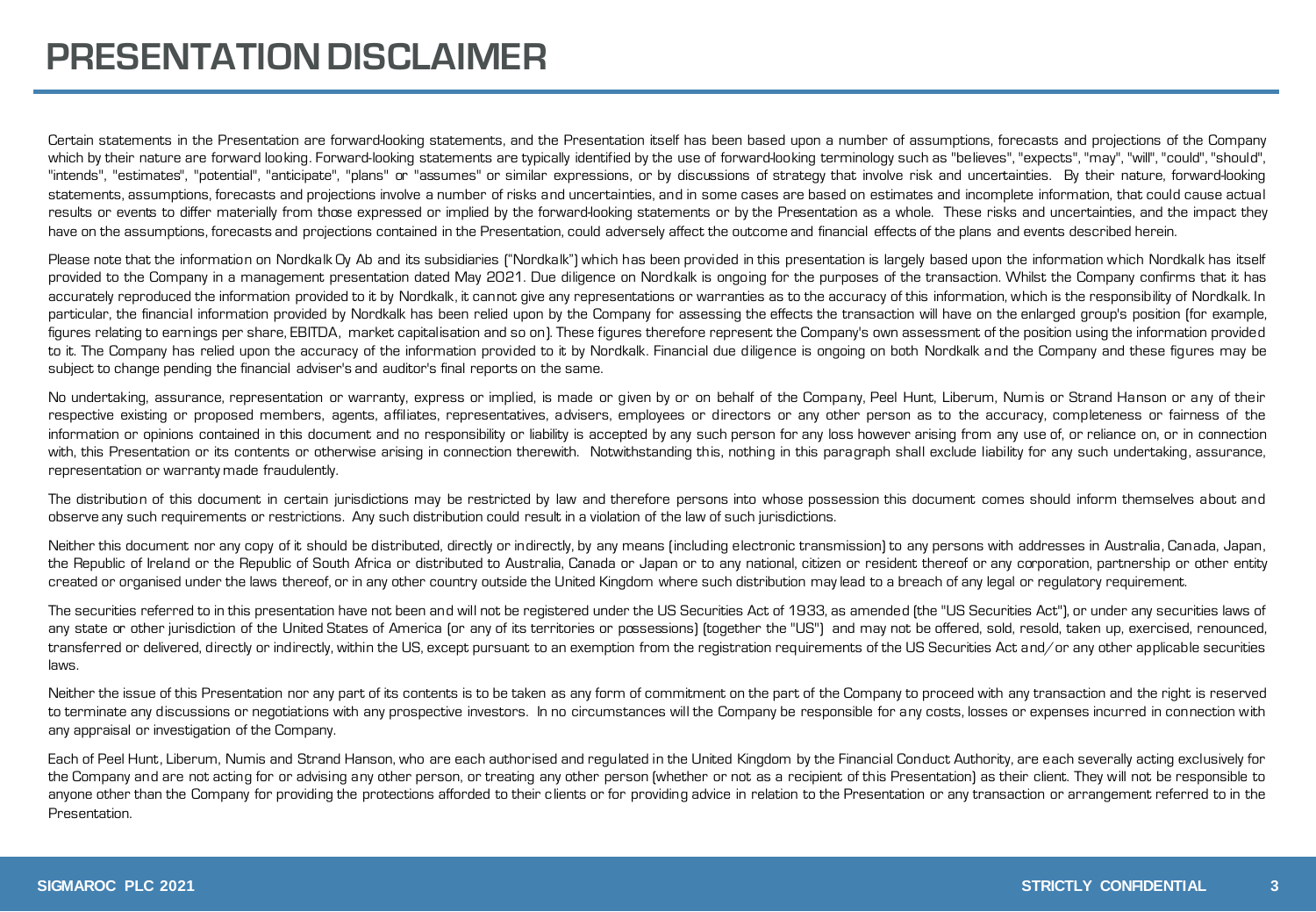Certain statements in the Presentation are forward-looking statements, and the Presentation itself has been based upon a number of assumptions, forecasts and projections of the Company which by their nature are forward looking. Forward-looking statements are typically identified by the use of forward-looking terminology such as "believes", "expects", "may", "will", "could", "should", "intends", "estimates", "potential", "anticipate", "plans" or "assumes" or similar expressions, or by discussions of strategy that involve risk and uncertainties. By their nature, forward-looking statements, assumptions, forecasts and projections involve a number of risks and uncertainties, and in some cases are based on estimates and incomplete information, that could cause actual results or events to differ materially from those expressed or implied by the forward-looking statements or by the Presentation as a whole. These risks and uncertainties, and the impact they have on the assumptions, forecasts and projections contained in the Presentation, could adversely affect the outcome and financial effects of the plans and events described herein.

Please note that the information on Nordkalk Oy Ab and its subsidiaries ("Nordkalk") which has been provided in this presentation is largely based upon the information which Nordkalk has itself provided to the Company in a management presentation dated May 2021. Due diligence on Nordkalk is ongoing for the purposes of the transaction. Whilst the Company confirms that it has accurately reproduced the information provided to it by Nordkalk, it cannot give any representations or warranties as to the accuracy of this information, which is the responsibility of Nordkalk. In particular, the financial information provided by Nordkalk has been relied upon by the Company for assessing the effects the transaction will have on the enlarged group's position (for example, figures relating to earnings per share, EBITDA, market capitalisation and so on). These figures therefore represent the Company's own assessment of the position using the information provided to it. The Company has relied upon the accuracy of the information provided to it by Nordkalk. Financial due diligence is ongoing on both Nordkalk and the Company and these figures may be subject to change pending the financial adviser's and auditor's final reports on the same.

No undertaking, assurance, representation or warranty, express or implied, is made or given by or on behalf of the Company, Peel Hunt, Liberum, Numis or Strand Hanson or any of their respective existing or proposed members, agents, affiliates, representatives, advisers, employees or directors or any other person as to the accuracy, completeness or fairness of the information or opinions contained in this document and no responsibility or liability is accepted by any such person for any loss however arising from any use of, or reliance on, or in connection with, this Presentation or its contents or otherwise arising in connection therewith. Notwithstanding this, nothing in this paragraph shall exclude liability for any such undertaking, assurance, representation or warranty made fraudulently.

The distribution of this document in certain jurisdictions may be restricted by law and therefore persons into whose possession this document comes should inform themselves about and observe any such requirements or restrictions. Any such distribution could result in a violation of the law of such jurisdictions.

Neither this document nor any copy of it should be distributed, directly or indirectly, by any means (including electronic transmission) to any persons with addresses in Australia, Canada, Japan, the Republic of Ireland or the Republic of South Africa or distributed to Australia, Canada or Japan or to any national, citizen or resident thereof or any corporation, partnership or other entity created or organised under the laws thereof, or in any other country outside the United Kingdom where such distribution maylead to a breach of any legal or regulatory requirement.

The securities referred to in this presentation have not been and will not be registered under the US Securities Act of 1933, as amended (the "US Securities Act"), or under any securities laws of any state or other jurisdiction of the United States of America (or any of its territories or possessions) (together the "US") and may not be offered, sold, resold, taken up, exercised, renounced, transferred or delivered, directly or indirectly, within the US, except pursuant to an exemption from the registration requirements of the US Securities Act and/or any other applicable securities laws.

Neither the issue of this Presentation nor any part of its contents is to be taken as any form of commitment on the part of the Company to proceed with any transaction and the right is reserved to terminate any discussions or negotiations with any prospective investors. In no circumstances will the Company be responsible for any costs, losses or expenses incurred in connection with any appraisal or investigation of the Company.

Each of Peel Hunt, Liberum, Numis and Strand Hanson, who are each authorised and regulated in the United Kingdom by the Financial Conduct Authority, are each severally acting exclusively for the Company and are not acting for or advising any other person, or treating any other person (whether or not as a recipient of this Presentation) as their client. They will not be responsible to anyone other than the Company for providing the protections afforded to their clients or for providing advice in relation to the Presentation or any transaction or arrangement referred to in the Presentation.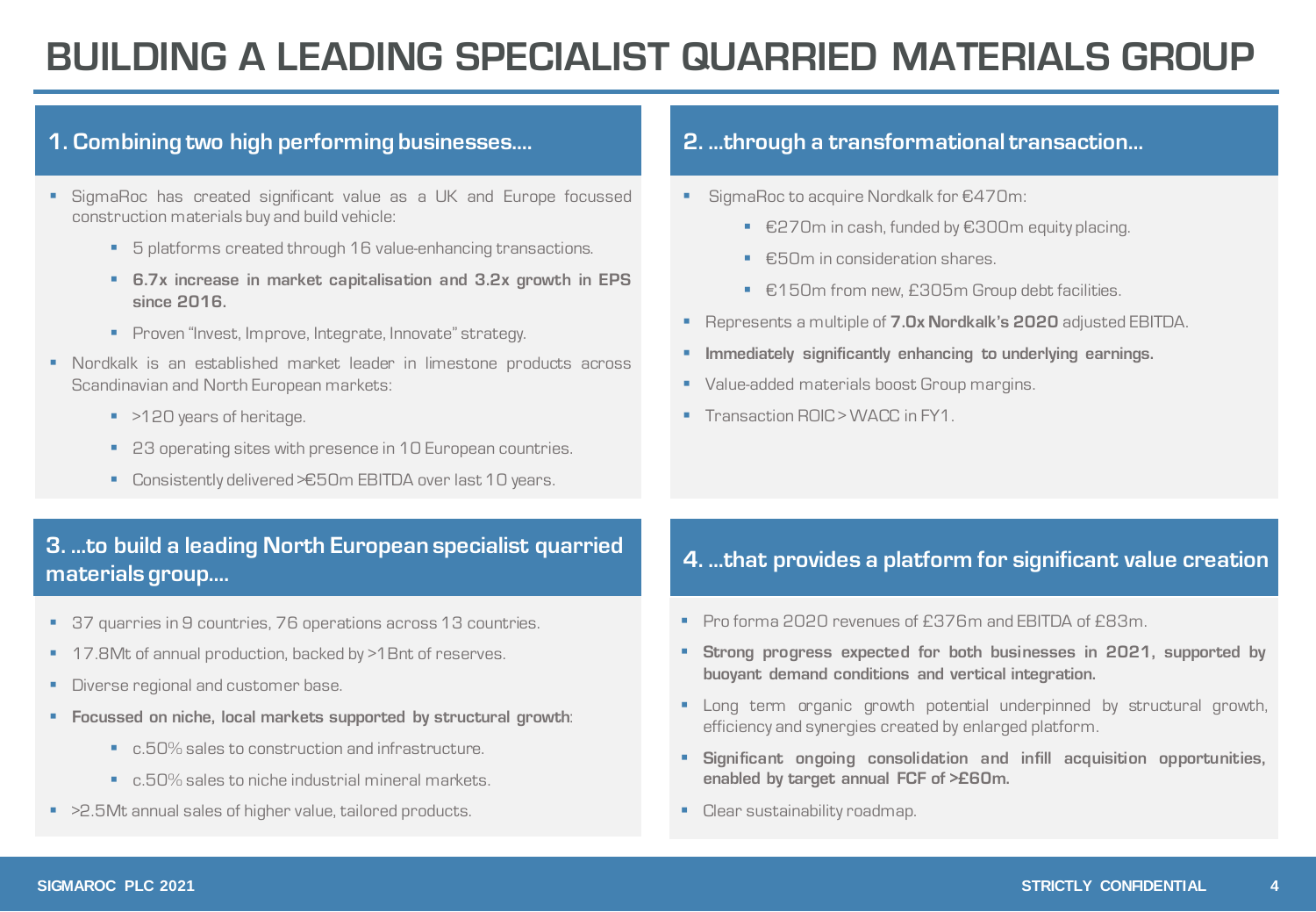## **BUILDING A LEADING SPECIALIST QUARRIED MATERIALS GROUP**

#### **1. Combining two high performing businesses….**

- **E** SigmaRoc has created significant value as a UK and Europe focussed construction materials buy and build vehicle:
	- 5 platforms created through 16 value-enhancing transactions.
	- **6.7x increase in market capitalisation and 3.2x growth in EPS since 2016.**
	- **•** Proven "Invest, Improve, Integrate, Innovate" strategy.
- Nordkalk is an established market leader in limestone products across Scandinavian and North European markets:
	- >120 years of heritage.
	- 23 operating sites with presence in 10 European countries.
	- Consistently delivered > €50m EBITDA over last 10 years.

#### **3. …to build a leading North European specialist quarried materials group….**

- 37 quarries in 9 countries, 76 operations across 13 countries.
- 17.8Mt of annual production, backed by >1Bnt of reserves.
- **Diverse regional and customer base.**
- **Focussed on niche, local markets supported by structural growth**:
	- c.50% sales to construction and infrastructure.
	- c.50% sales to niche industrial mineral markets.
- >2.5Mt annual sales of higher value, tailored products.

#### **2. …through a transformational transaction…**

- SigmaRoc to acquire Nordkalk for €470m:
	- €270m in cash, funded by €300m equity placing.
	- €50m in consideration shares.
	- €150m from new, £305m Group debt facilities.
- Represents a multiple of **7.0x Nordkalk's 2020** adjusted EBITDA.
- **Immediately significantly enhancing to underlying earnings.**
- **Value-added materials boost Group margins.**
- Transaction ROIC > WACC in FY1.

### **4. …that provides a platform for significant value creation**

- Pro forma 2020 revenues of £376m and EBITDA of £83m.
- **Strong progress expected for both businesses in 2021, supported by buoyant demand conditions and vertical integration.**
- **E** Long term organic growth potential underpinned by structural growth, efficiency and synergies created by enlarged platform.
- **Significant ongoing consolidation and infill acquisition opportunities, enabled by target annual FCF of >£60m.**
- Clear sustainability roadmap.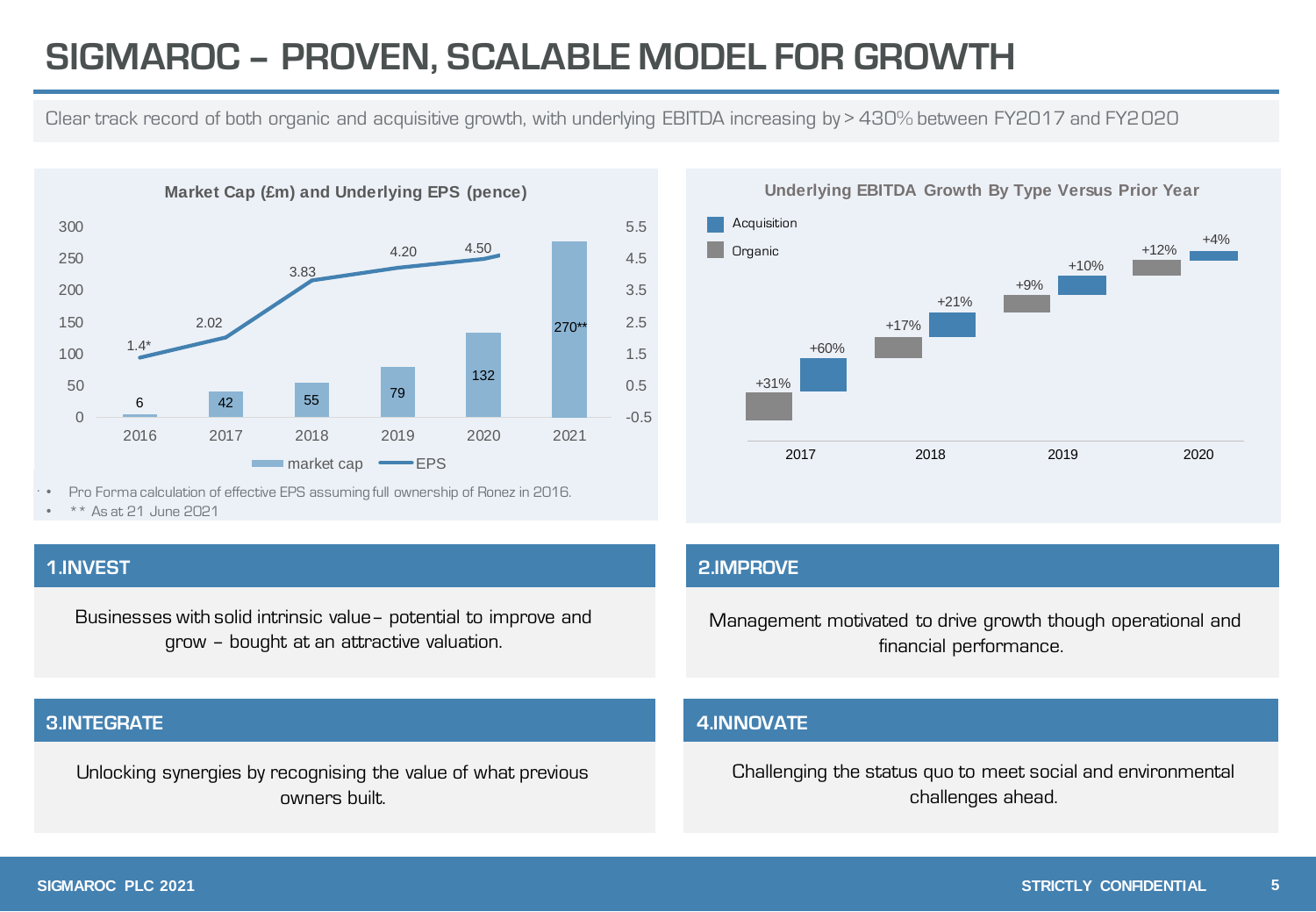### **SIGMAROC – PROVEN, SCALABLE MODEL FOR GROWTH**

Clear track record of both organic and acquisitive growth, with underlying EBITDA increasing by > 430% between FY2017 and FY2020



• Pro Forma calculation of effective EPS assuming full ownership of Ronez in 2016.

• \*\* As at 21 June 2021

Businesses with solid intrinsic value– potential to improve and grow – bought at an attractive valuation.

#### **3.INTEGRATE**

Unlocking synergies by recognising the value of what previous owners built.

**Underlying EBITDA Growth By Type Versus Prior Year** 2017 2018 2019 2020 +31% +60% +17% +21% +9% +10% +12% +4% Acquisition **Organic** 

#### **1.INVEST 2.IMPROVE**

Management motivated to drive growth though operational and financial performance.

#### **4.INNOVATE**

Challenging the status quo to meet social and environmental challenges ahead.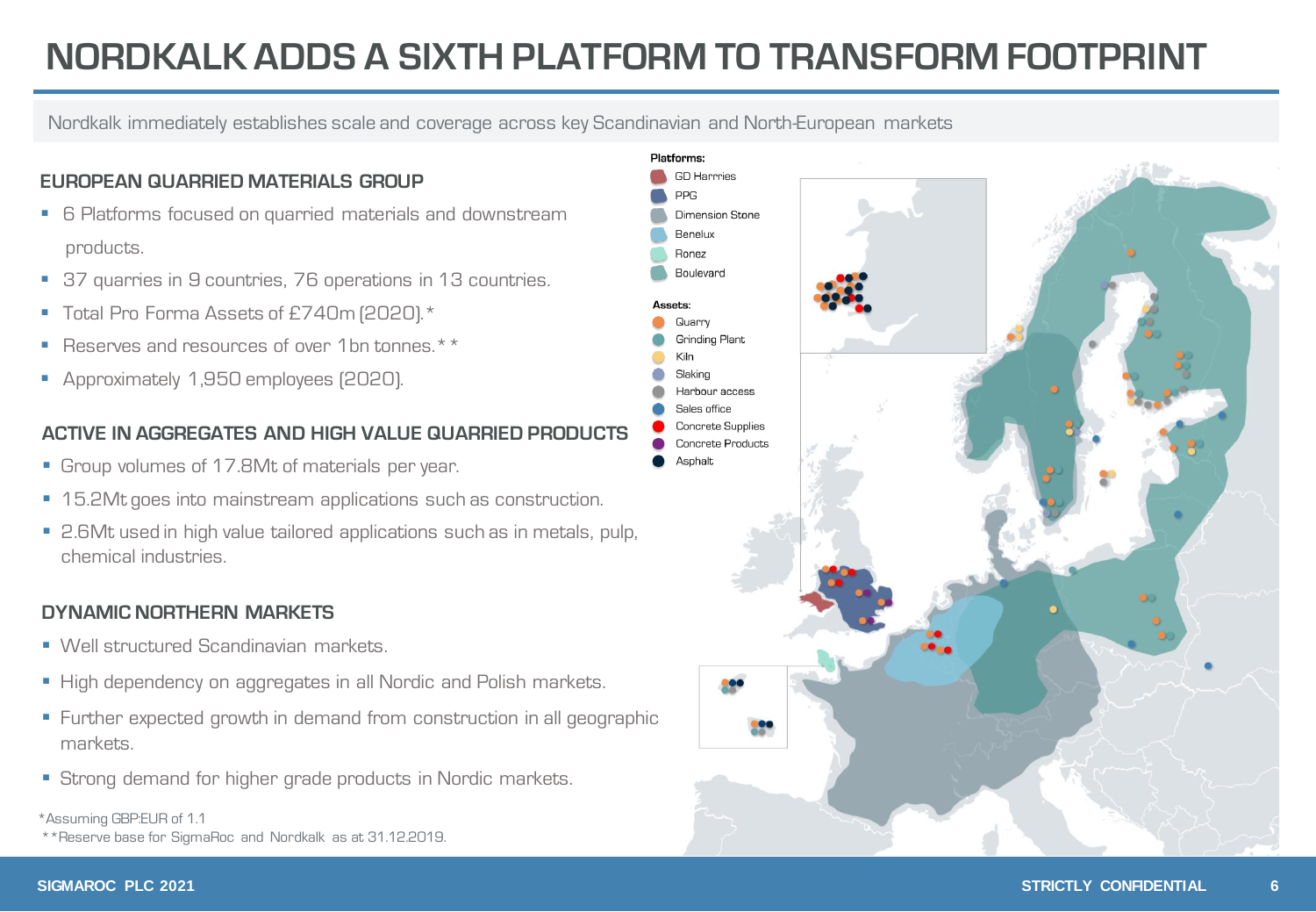### **NORDKALK ADDS A SIXTH PLATFORM TO TRANSFORM FOOTPRINT**

Nordkalk immediately establishes scale and coverage across key Scandinavian and North-European markets

#### **EUROPEAN QUARRIED MATERIALS GROUP**

- 6 Platforms focused on quarried materials and downstream products.
- 37 quarries in 9 countries, 76 operations in 13 countries.
- Total Pro Forma Assets of £740m (2020).\*
- Reserves and resources of over 1bn tonnes.\*\*
- **•** Approximately 1,950 employees (2020).

#### **ACTIVE IN AGGREGATES AND HIGH VALUE QUARRIED PRODUCTS**

- **Group volumes of 17.8Mt of materials per year.**
- 15.2Mt goes into mainstream applications such as construction.
- 2.6Mt used in high value tailored applications such as in metals, pulp, chemical industries.

#### **DYNAMIC NORTHERN MARKETS**

- Well structured Scandinavian markets.
- Prementer on accompany in the manners.<br>■ High dependency on aggregates in all Nordic and Polish markets.
- **E** Further expected growth in demand from construction in all geographic markets.
- Strong demand for higher grade products in Nordic markets.

#### \*Assuming GBP:EUR of 1.1

\*\*Reserve base for SigmaRoc and Nordkalk as at 31.12.2019.

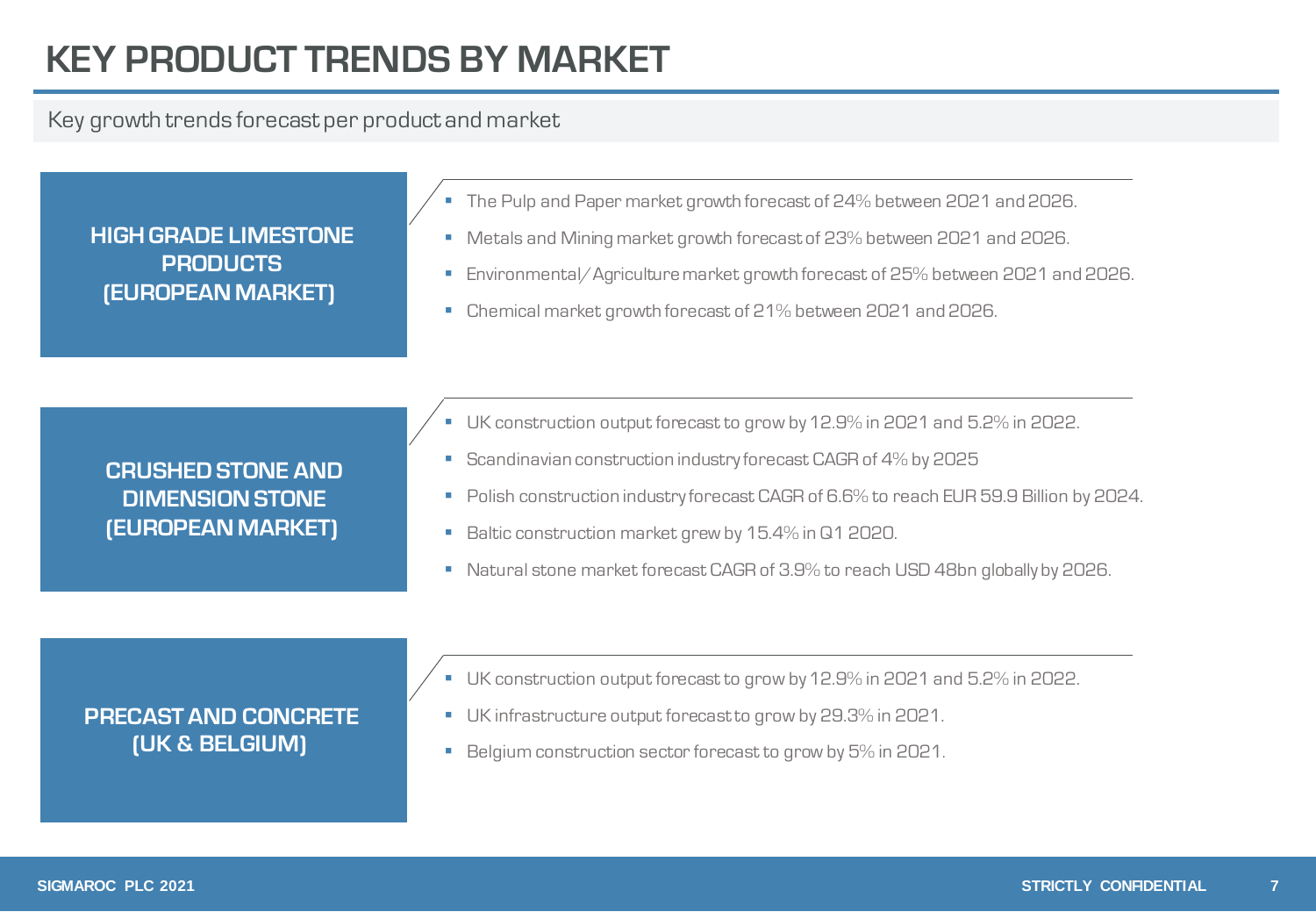## **KEY PRODUCT TRENDS BY MARKET**

### Key growth trends forecast per product and market

**HIGH GRADE LIMESTONE PRODUCTS (EUROPEAN MARKET)**

- The Pulp and Paper market growth forecast of 24% between 2021 and 2026.
- Metals and Mining market growth forecast of 23% between 2021 and 2026.
- Environmental/Agriculture market growth forecast of 25% between 2021 and 2026.
- Chemical market growth forecast of 21% between 2021 and 2026.

**CRUSHED STONE AND DIMENSION STONE (EUROPEAN MARKET)**

- UK construction output forecast to grow by 12.9% in 2021 and 5.2% in 2022.
- **Scandinavian construction industry forecast CAGR of 4% by 2025**
- Polish construction industry forecast CAGR of 6.6% to reach EUR 59.9 Billion by 2024.
- Baltic construction market grew by 15.4% in Q1 2020.
- Natural stone market forecast CAGR of 3.9% to reach USD 48bn globally by 2026.

#### **PRECAST AND CONCRETE (UK & BELGIUM)**

- UK construction output forecast to grow by 12.9% in 2021 and 5.2% in 2022.
- UK infrastructure output forecastto grow by 29.3% in 2021.
- Belgium construction sector forecast to grow by 5% in 2021.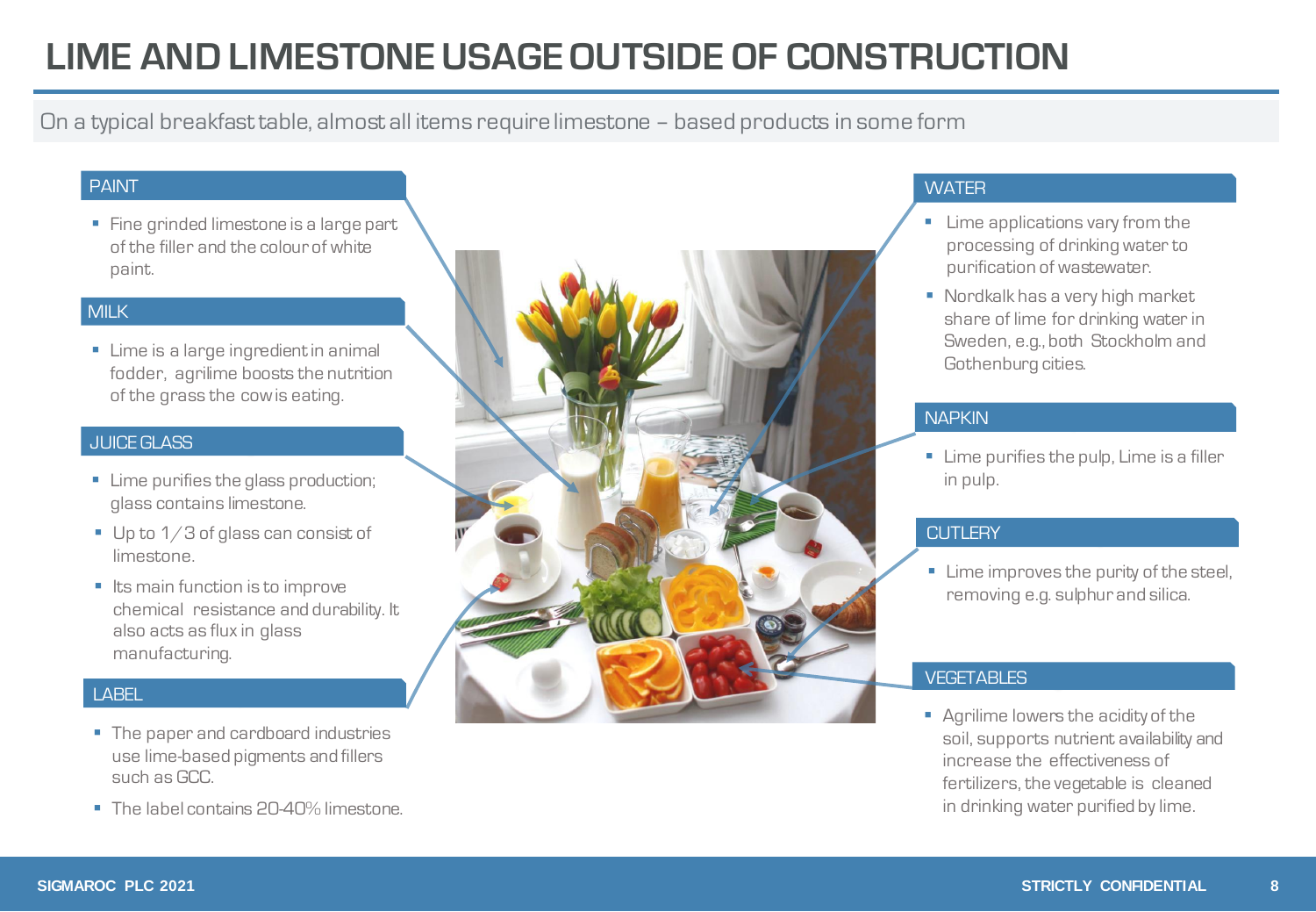### **LIME AND LIMESTONE USAGE OUTSIDE OF CONSTRUCTION**

On a typical breakfasttable, almost all items require limestone – based products in some form

#### PAINT

■ Fine grinded limestone is a large part of the filler and the colour of white paint.

#### MILK

■ Lime is a large ingredient in animal fodder, agrilime boosts the nutrition of the grass the cowis eating.

#### JUICE GLASS

- **E** Lime purifies the glass production; glass contains limestone.
- $\blacksquare$  Up to 1/3 of glass can consist of limestone.
- Its main function is to improve chemical resistance and durability. It also acts as flux in glass manufacturing.

#### LABEL

- The paper and cardboard industries use lime-based pigments and fillers such as GCC.
- The label contains 20-40% limestone.



#### **WATER**

- **E** Lime applications vary from the processing of drinking water to purification of wastewater.
- Nordkalk has a very high market share of lime for drinking water in Sweden, e.g., both Stockholm and Gothenburg cities.

#### **NAPKIN**

**E** Lime purifies the pulp, Lime is a filler in pulp.

#### **CUTLERY**

**·** Lime improves the purity of the steel, removing e.g. sulphur and silica.

#### **VEGETABLES**

■ Agrilime lowers the acidity of the soil, supports nutrient availability and increase the effectiveness of fertilizers, the vegetable is cleaned in drinking water purified by lime.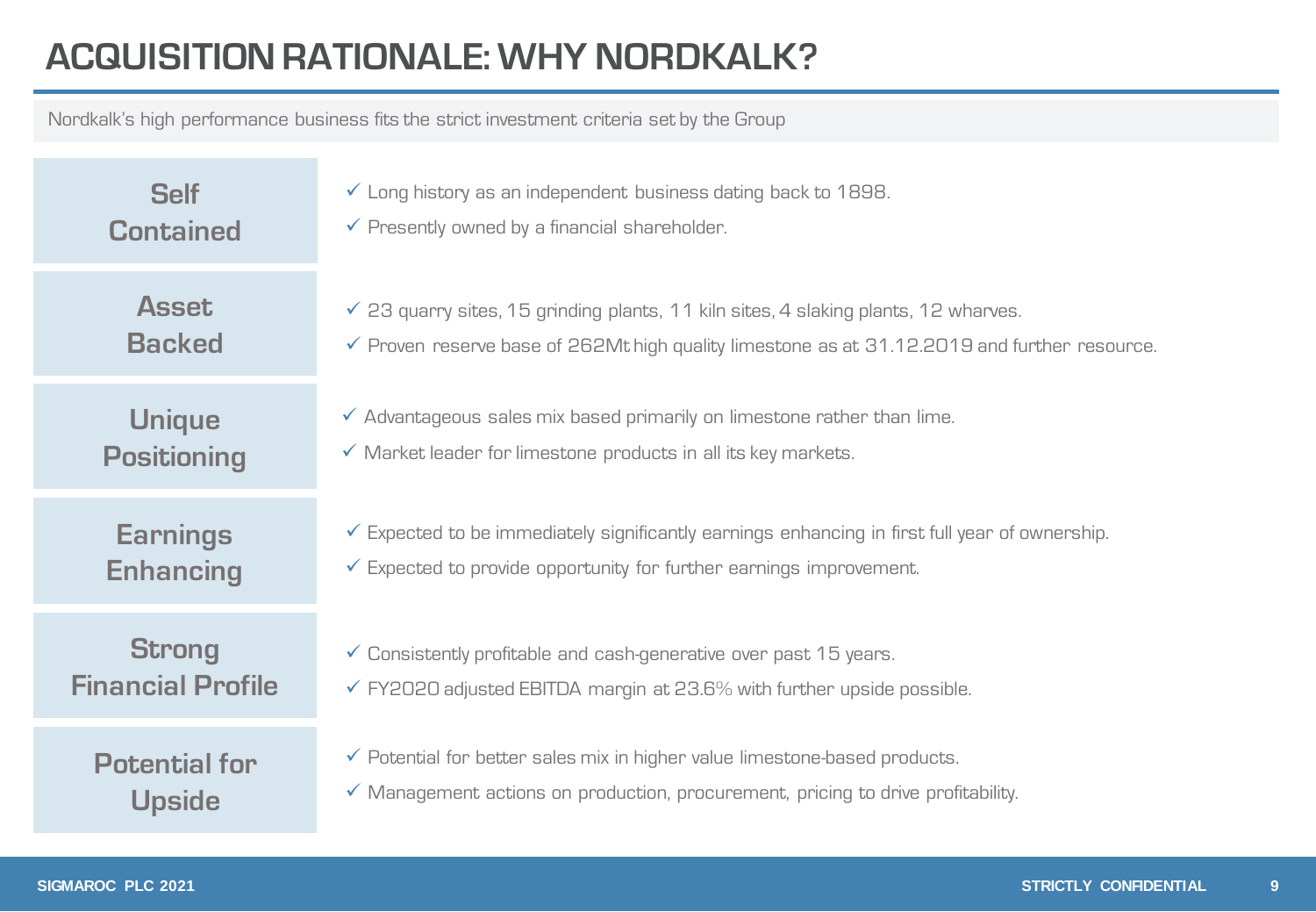## **ACQUISITION RATIONALE: WHY NORDKALK?**

Nordkalk's high performance business fits the strict investment criteria set by the Group

| <b>Self</b>              | $\checkmark$ Long history as an independent business dating back to 1898.                                 |  |  |  |
|--------------------------|-----------------------------------------------------------------------------------------------------------|--|--|--|
| <b>Contained</b>         | $\checkmark$ Presently owned by a financial shareholder.                                                  |  |  |  |
| <b>Asset</b>             | $\checkmark$ 23 quarry sites, 15 grinding plants, 11 kiln sites, 4 slaking plants, 12 wharves.            |  |  |  |
| <b>Backed</b>            | $\checkmark$ Proven reserve base of 262Mt high quality limestone as at 31.12.2019 and further resource.   |  |  |  |
| <b>Unique</b>            | $\checkmark$ Advantageous sales mix based primarily on limestone rather than lime.                        |  |  |  |
| <b>Positioning</b>       | $\checkmark$ Market leader for limestone products in all its key markets.                                 |  |  |  |
| <b>Earnings</b>          | $\checkmark$ Expected to be immediately significantly earnings enhancing in first full year of ownership. |  |  |  |
| <b>Enhancing</b>         | $\checkmark$ Expected to provide opportunity for further earnings improvement.                            |  |  |  |
| <b>Strong</b>            | $\checkmark$ Consistently profitable and cash-generative over past 15 years.                              |  |  |  |
| <b>Financial Profile</b> | $\checkmark$ FY2020 adjusted EBITDA margin at 23.6% with further upside possible.                         |  |  |  |
| <b>Potential for</b>     | $\checkmark$ Potential for better sales mix in higher value limestone-based products.                     |  |  |  |
| <b>Upside</b>            | √ Management actions on production, procurement, pricing to drive profitability.                          |  |  |  |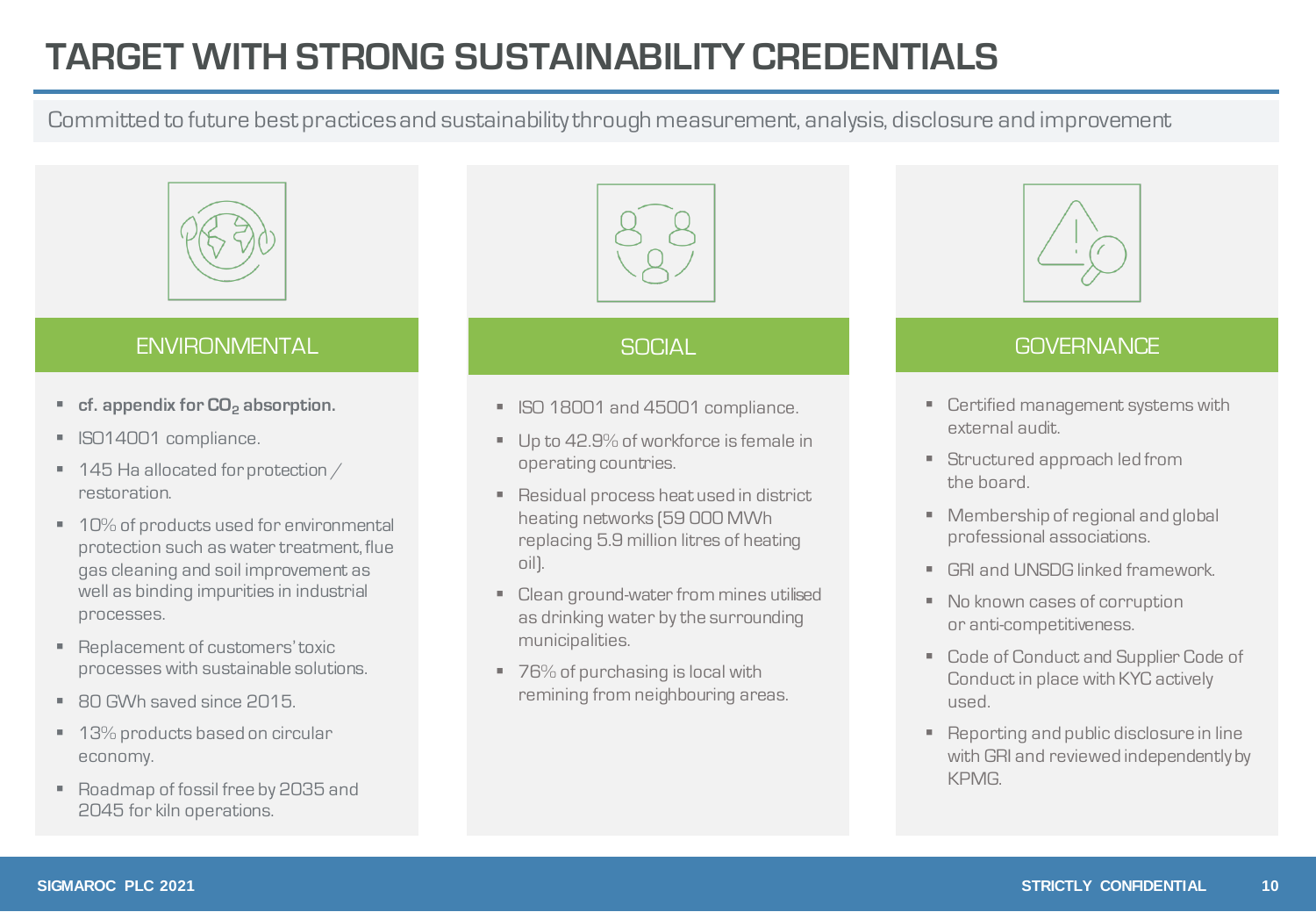### **TARGET WITH STRONG SUSTAINABILITY CREDENTIALS**

Committed to future best practices and sustainability through measurement, analysis, disclosure and improvement



#### ENVIRONMENTAL DE SOCIAL SOCIAL GOVERNANCE

- **cf.** appendix for **CO**<sub>2</sub> absorption.
- **ISO14001 compliance.**
- 145 Ha allocated for protection / restoration.
- 10% of products used for environmental protection such as water treatment, flue gas cleaning and soil improvement as well as binding impurities in industrial processes.
- Replacement of customers' toxic processes with sustainable solutions.
- 80 GWh saved since 2015.
- 13% products based on circular economy.
- Roadmap of fossil free by 2035 and 2045 for kiln operations.



- ISO 18001 and 45001 compliance.
- Up to 42.9% of workforce is female in operating countries.
- Residual process heat used in district heating networks (59 000 MWh replacing 5.9 million litres of heating oil).
- Clean ground-water from mines utilised as drinking water by the surrounding municipalities.
- 76% of purchasing is local with remining from neighbouring areas.



- Certified management systems with external audit.
- **EXECUTED APPROACH STATE** the board.
- Membership of regional and global professional associations.
- GRI and UNSDG linked framework.
- No known cases of corruption or anti-competitiveness.
- Code of Conduct and Supplier Code of Conduct in place with KYC actively used.
- Reporting and public disclosure in line with GRI and reviewed independently by KPMG.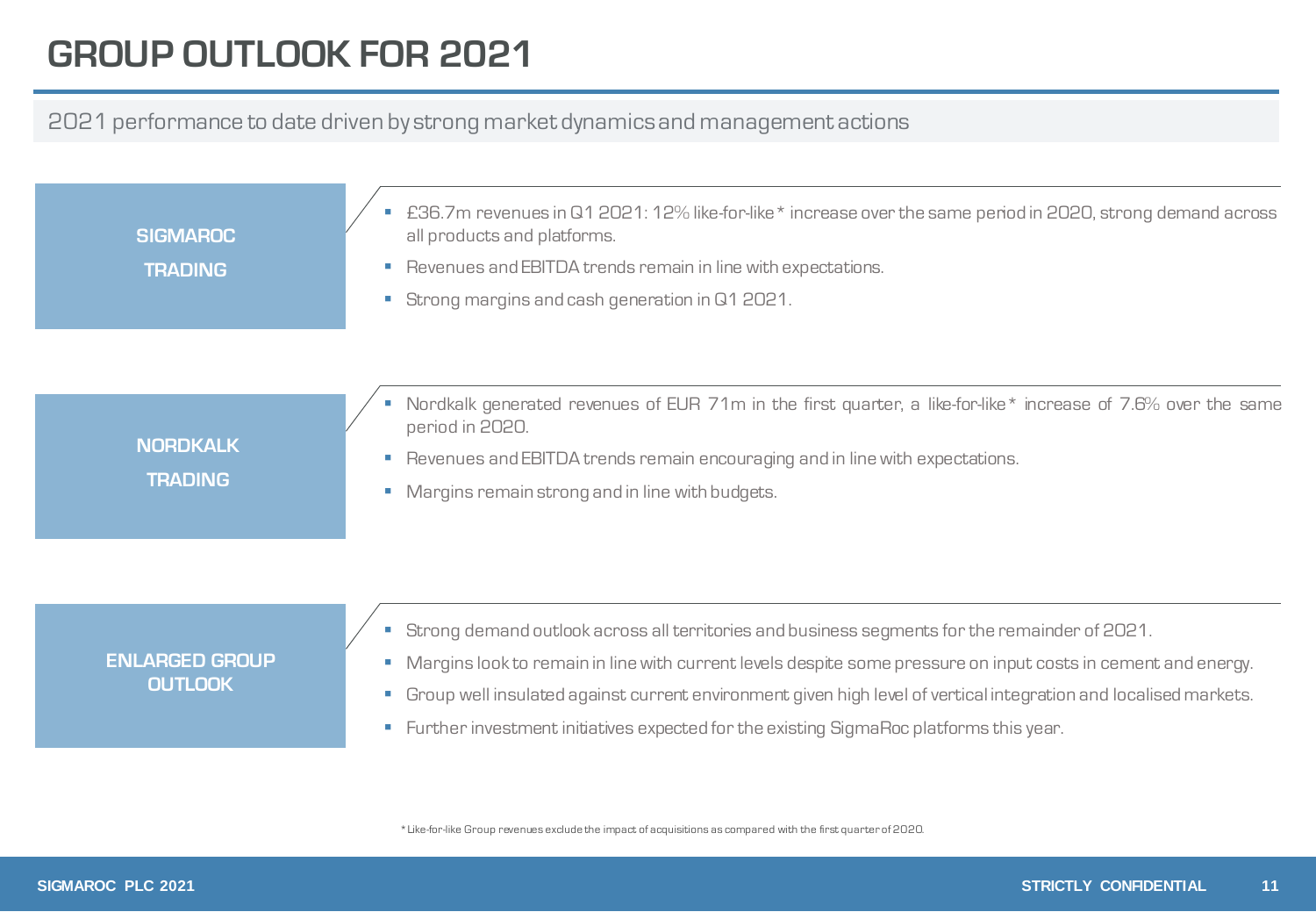### **GROUP OUTLOOK FOR 2021**

#### 2021 performance to date driven by strong market dynamics and management actions

**SIGMAROC TRADING**

- £36.7m revenues in Q1 2021: 12% like-for-like \* increase over the same period in 2020, strong demand across all products and platforms.
- Revenues and EBITDA trends remain in line with expectations.
- Strong margins and cash generation in Q1 2021.

**NORDKALK TRADING**

- Nordkalk generated revenues of EUR 71m in the first quarter, a like-for-like\* increase of 7.6% over the same period in 2020.
- Revenues and EBITDA trends remain encouraging and in line with expectations.
- **Margins remain strong and in line with budgets.**

#### **ENLARGED GROUP OUTLOOK**

- Strong demand outlook across all territories and business segments for the remainder of 2021.
- Margins look to remain in line with current levels despite some pressure on input costs in cement and energy.
- Group well insulated against current environment given high level of vertical integration and localised markets.
- **EXECT:** Further investment initiatives expected for the existing SigmaRoc platforms this year.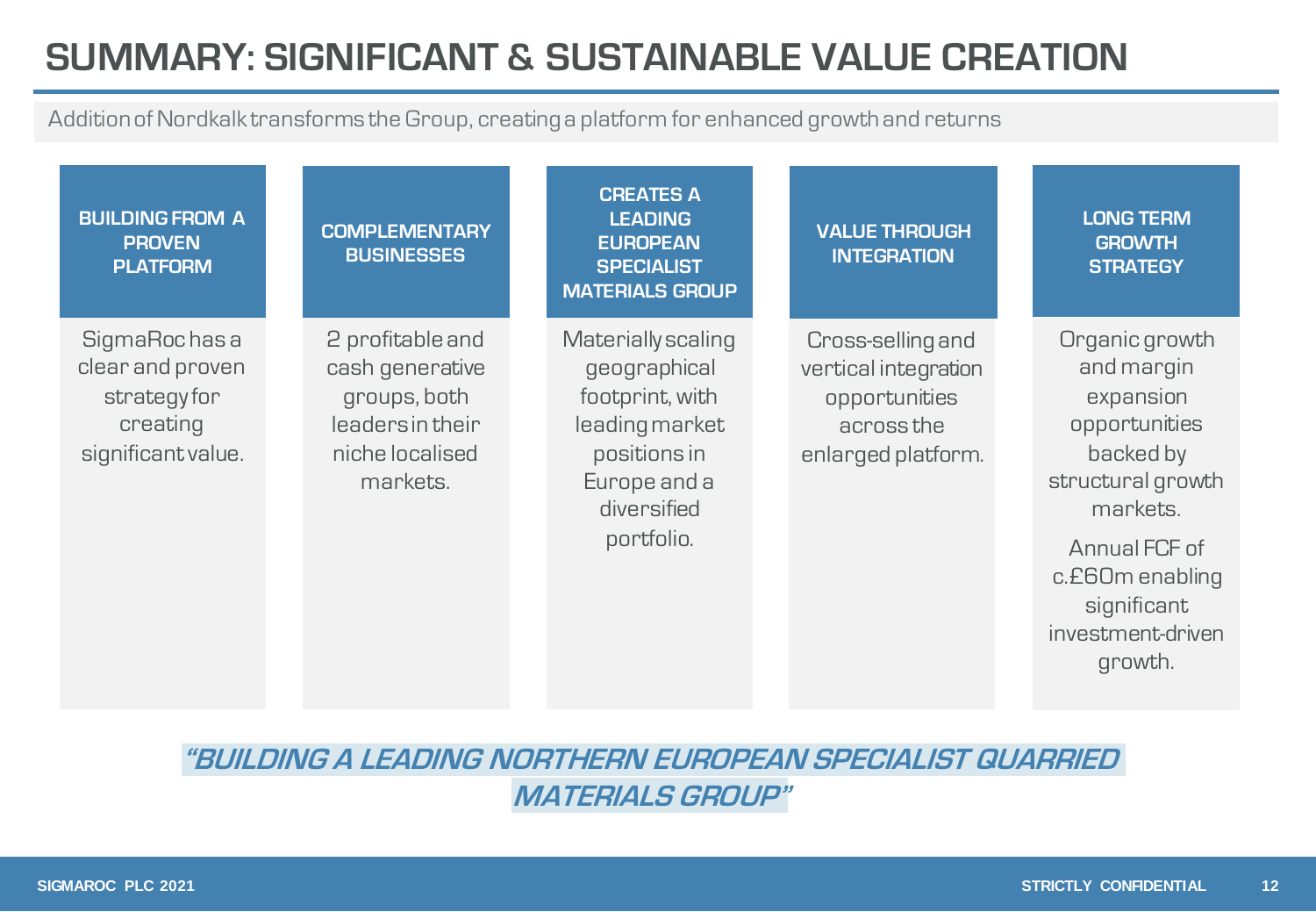## **SUMMARY: SIGNIFICANT & SUSTAINABLE VALUE CREATION**

Addition of Nordkalk transforms the Group, creating a platform for enhanced growth and returns

| <b>BUILDING FROM A</b><br><b>PROVEN</b><br><b>PLATFORM</b>                        | <b>COMPLEMENTARY</b><br><b>BUSINESSES</b>                                                              | <b>CREATES A</b><br><b>LEADING</b><br><b>EUROPEAN</b><br><b>SPECIALIST</b><br><b>MATERIALS GROUP</b>                                 | <b>VALUE THROUGH</b><br><b>INTEGRATION</b>                                                     | <b>LONG TERM</b><br><b>GROWTH</b><br><b>STRATEGY</b>                                                                                                                                        |
|-----------------------------------------------------------------------------------|--------------------------------------------------------------------------------------------------------|--------------------------------------------------------------------------------------------------------------------------------------|------------------------------------------------------------------------------------------------|---------------------------------------------------------------------------------------------------------------------------------------------------------------------------------------------|
| SigmaRochasa<br>clear and proven<br>strategyfor<br>creating<br>significant value. | 2 profitable and<br>cash generative<br>groups, both<br>leaders in their<br>niche localised<br>markets. | Materially scaling<br>geographical<br>footprint, with<br>leading market<br>positions in<br>Europe and a<br>diversified<br>portfolio. | Cross-selling and<br>vertical integration<br>opportunities<br>across the<br>enlarged platform. | Organic growth<br>and margin<br>expansion<br>opportunities<br>backed by<br>structural growth<br>markets.<br>Annual FCF of<br>c.£60m enabling<br>significant<br>investment-driven<br>growth. |

**"BUILDING A LEADING NORTHERN EUROPEAN SPECIALIST QUARRIED MATERIALS GROUP"**